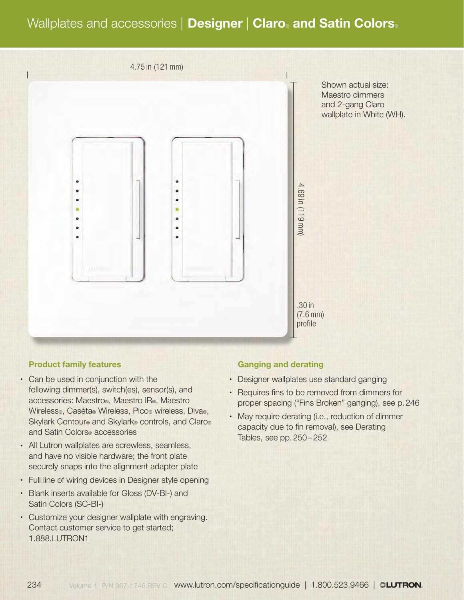# Wallplates and accessories | Designer | Claro® and Satin Colors®



#### Product family features

- Can be used in conjunction with the following dimmer(s), switch(es), sensor(s), and accessories: Maestro®, Maestro IR®, Maestro Wireless®, Caséta® Wireless, Pico® wireless, Diva®, Skylark Contour® and Skylark® controls, and Claro® and Satin Colors® accessories
- All Lutron wallplates are screwless, seamless, and have no visible hardware; the front plate securely snaps into the alignment adapter plate
- Full line of wiring devices in Designer style opening
- Blank inserts available for Gloss (DV-BI-) and Satin Colors (SC-BI-)
- Customize your designer wallplate with engraving. Contact customer service to get started; 1.888.LUTRON1

#### Ganging and derating

- Designer wallplates use standard ganging
- Requires fins to be removed from dimmers for proper spacing ("Fins Broken" ganging), see p.246
- May require derating (i.e., reduction of dimmer capacity due to fin removal), see Derating Tables, see pp.250–252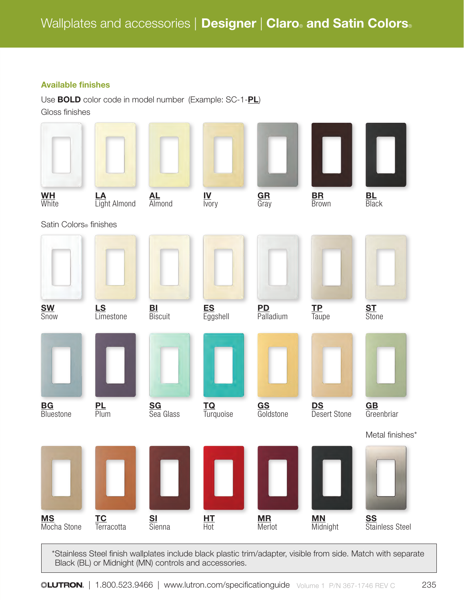# Available finishes

Use **BOLD** color code in model number (Example: SC-1-PL) Gloss finishes

| $\frac{\text{WH}}{\text{White}}$   | LA<br>Light Almond | $AL$<br>Almond       | $\frac{IV}{IV}$  | GR<br>Gray             | <b>BR</b><br>Brown    | <b>BL</b><br>Black                     |
|------------------------------------|--------------------|----------------------|------------------|------------------------|-----------------------|----------------------------------------|
| Satin Colors <sup>®</sup> finishes |                    |                      |                  |                        |                       |                                        |
| <b>SW</b><br>Snow                  | LS<br>Limestone    | <b>BI</b><br>Biscuit | ES<br>Eggshell   | <b>PD</b><br>Palladium | $\frac{TP}{Tauge}$    | <b>ST</b><br>Stone                     |
|                                    |                    |                      |                  |                        |                       |                                        |
| <b>BG</b><br>Bluestone             | $PL$<br>Plum       | SG<br>Sea Glass      | TQ<br>Turquoise  | GS<br>Goldstone        | DS<br>Desert Stone    | $\underline{\textbf{G}}$<br>Greenbriar |
|                                    |                    |                      |                  |                        |                       | Metal finishes*                        |
| <b>MS</b><br>Mocha Stone           | TC<br>Terracotta   | <b>SI</b><br>Sienna  | $H_{\text{tot}}$ | <b>MR</b><br>Merlot    | <b>MN</b><br>Midnight | <b>SS</b><br>Stainless Steel           |

\*Stainless Steel finish wallplates include black plastic trim/adapter, visible from side. Match with separate Black (BL) or Midnight (MN) controls and accessories.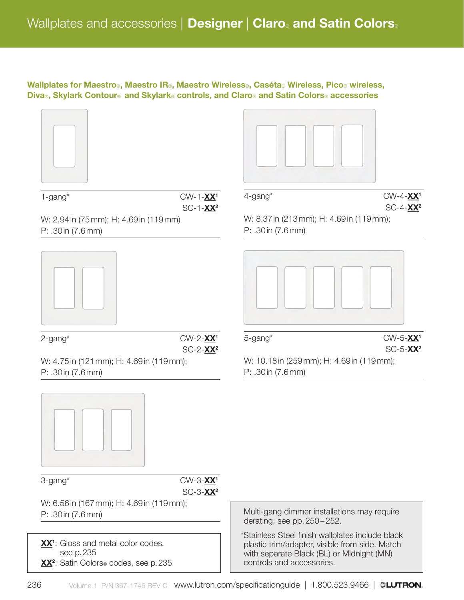Wallplates for Maestro®, Maestro IR®, Maestro Wireless®, Caséta® Wireless, Pico® wireless, Diva®, Skylark Contour® and Skylark® controls, and Claro® and Satin Colors® accessories





 $1$ -gang\* CW-1- $\cancel{\text{XX}^1}$ SC-1- $XX^2$ 

W: 2.94in (75mm); H: 4.69in (119mm) P: .30in (7.6mm)





W: 4.75in (121mm); H: 4.69in (119mm); P: .30in (7.6mm)



 $4$ -gang<sup>\*</sup> CW-4- $\chi\chi$ <sup>1</sup>

W: 8.37in (213mm); H: 4.69in (119mm);

P: .30in (7.6mm)

5-gang\* CW-5-XX1 SC-5-XX2

SC-4-XX2

W: 10.18in (259mm); H: 4.69in (119mm); P: .30in (7.6mm)





W: 6.56in (167mm); H: 4.69in (119mm); P: .30in (7.6mm)

XX<sup>1</sup>: Gloss and metal color codes, see p.235 XX<sup>2</sup>: Satin Colors® codes, see p. 235 Multi-gang dimmer installations may require derating, see pp.250–252.

\*Stainless Steel finish wallplates include black plastic trim/adapter, visible from side. Match with separate Black (BL) or Midnight (MN) controls and accessories.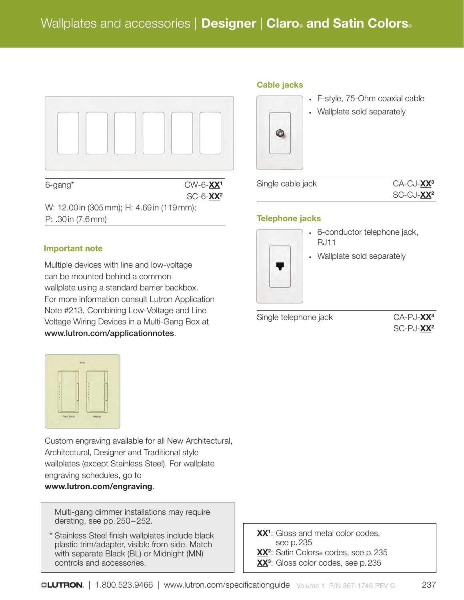

W: 12.00in (305mm); H: 4.69in (119mm); P: .30in (7.6mm)

# Important note

Multiple devices with line and low-voltage can be mounted behind a common wallplate using a standard barrier backbox. For more information consult Lutron Application Note #213, Combining Low-Voltage and Line Voltage Wiring Devices in a Multi-Gang Box at www.lutron.com/applicationnotes.



Custom engraving available for all New Architectural, Architectural, Designer and Traditional style wallplates (except Stainless Steel). For wallplate engraving schedules, go to www.lutron.com/engraving.

Multi-gang dimmer installations may require derating, see pp.250–252.

Stainless Steel finish wallplates include black plastic trim/adapter, visible from side. Match with separate Black (BL) or Midnight (MN) controls and accessories.

#### Cable jacks



- F-style, 75-Ohm coaxial cable
- Wallplate sold separately

Single cable jack CA-CJ-XX<sup>3</sup>



# Telephone jacks



- 6-conductor telephone jack, RJ11
- Wallplate sold separately

Single telephone jack CA-PJ- $\frac{\text{X}^3}{2}$ 

SC-PJ-**XX<sup>2</sup>** 

XX<sup>1</sup>: Gloss and metal color codes, see p.235 XX<sup>2</sup>: Satin Colors® codes, see p. 235 XX<sup>3</sup>: Gloss color codes, see p. 235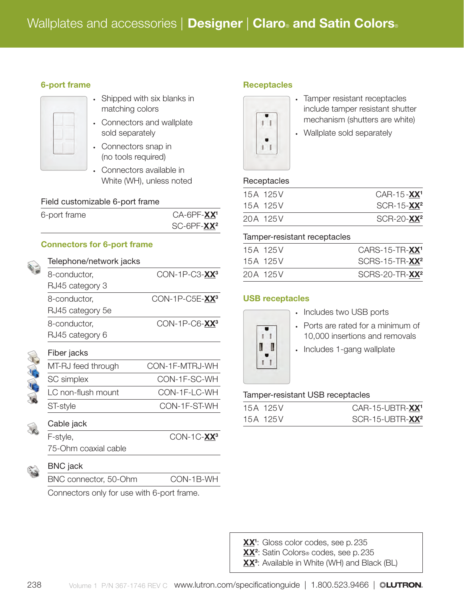#### 6-port frame

- Shipped with six blanks in matching colors
- Connectors and wallplate sold separately
- Connectors snap in (no tools required)
- Connectors available in White (WH), unless noted

#### Field customizable 6-port frame

| 6-port frame | $CA-6PF-XX1$ |
|--------------|--------------|
|              | $SC-6PF-XX2$ |

#### Connectors for 6-port frame

| Telephone/network jacks |                            |
|-------------------------|----------------------------|
| 8-conductor,            | CON-1P-C3-XX <sup>3</sup>  |
| RJ45 category 3         |                            |
| 8-conductor,            | CON-1P-C5E-XX <sup>3</sup> |
| RJ45 category 5e        |                            |
| 8-conductor,            | CON-1P-C6-XX <sup>3</sup>  |
| RJ45 category 6         |                            |
| Fiber jacks             |                            |
| MT-RJ feed through      | CON-1F-MTRJ-WH             |
| <b>SC</b> simplex       | CON-1F-SC-WH               |
| LC non-flush mount      | CON-1F-LC-WH               |
| ST-style                | CON-1F-ST-WH               |
| Cable jack              |                            |
| F-style,                | $CON-1C-XX^3$              |
| 75-Ohm coaxial cable    |                            |
| <b>BNC</b> jack         |                            |
| BNC connector, 50-Ohm   | CON-1B-WH                  |

Connectors only for use with 6-port frame.

#### **Receptacles**



- Tamper resistant receptacles include tamper resistant shutter mechanism (shutters are white)
- Wallplate sold separately

#### **Receptacles**

| 15A 125V | $CAR-15 - XX1$         |
|----------|------------------------|
| 15A 125V | SCR-15-XX <sup>2</sup> |
| 20A 125V | SCR-20-XX <sup>2</sup> |

#### Tamper-resistant receptacles

| 15A 125V | CARS-15-TR-XX <sup>1</sup> |
|----------|----------------------------|
| 15A 125V | SCRS-15-TR-XX <sup>2</sup> |
| 20A 125V | SCRS-20-TR-XX <sup>2</sup> |

# USB receptacles



- Includes two USB ports
- Ports are rated for a minimum of 10,000 insertions and removals
- Includes 1-gang wallplate

# Tamper-resistant USB receptacles

| 15A 125V | CAR-15-UBTR-XX <sup>1</sup> |
|----------|-----------------------------|
| 15A 125V | SCR-15-UBTR-XX <sup>2</sup> |

- XX<sup>1</sup>: Gloss color codes, see p. 235
- XX<sup>2</sup>: Satin Colors® codes, see p. 235
- XX<sup>3</sup>: Available in White (WH) and Black (BL)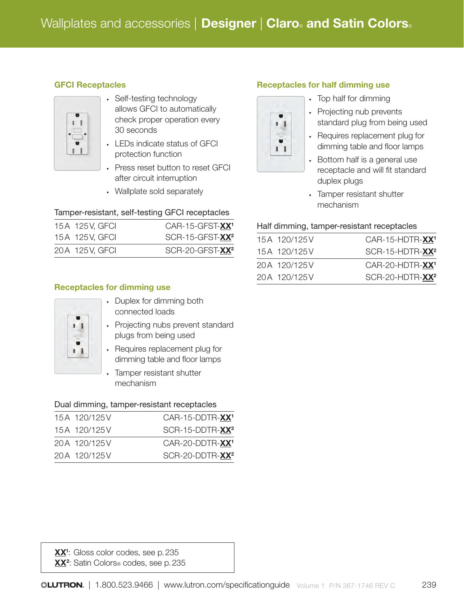# GFCI Receptacles



- Self-testing technology allows GFCI to automatically check proper operation every 30 seconds
- LEDs indicate status of GFCI protection function
- Press reset button to reset GFCI after circuit interruption
- Wallplate sold separately

# Tamper-resistant, self-testing GFCI receptacles

| 15A 125V, GFCI | CAR-15-GFST-XX <sup>1</sup> |
|----------------|-----------------------------|
| 15A 125V, GFCI | SCR-15-GFST-XX <sup>2</sup> |
| 20A 125V, GFCI | SCR-20-GFST-XX <sup>2</sup> |

# Receptacles for dimming use

- Duplex for dimming both connected loads
- Projecting nubs prevent standard plugs from being used
- Requires replacement plug for dimming table and floor lamps
- Tamper resistant shutter mechanism

# Dual dimming, tamper-resistant receptacles

| 15A 120/125V | CAR-15-DDTR-XX <sup>1</sup> |
|--------------|-----------------------------|
| 15A 120/125V | SCR-15-DDTR-XX <sup>2</sup> |
| 20A 120/125V | CAR-20-DDTR-XX <sup>1</sup> |
| 20A 120/125V | SCR-20-DDTR-XX <sup>2</sup> |

#### Receptacles for half dimming use

• Top half for dimming • Projecting nub prevents standard plug from being used

 $\mathbf{I}$ 

 $\mathbf{I}$ 

- Requires replacement plug for dimming table and floor lamps
- Bottom half is a general use receptacle and will fit standard duplex plugs
- Tamper resistant shutter mechanism

#### Half dimming, tamper-resistant receptacles

| 15A 120/125V | $CAR-15-HDTR-XX$ <sup>1</sup> |
|--------------|-------------------------------|
| 15A 120/125V | SCR-15-HDTR-XX <sup>2</sup>   |
| 20A 120/125V | CAR-20-HDTR-XX <sup>1</sup>   |
| 20A 120/125V | SCR-20-HDTR-XX <sup>2</sup>   |

XX<sup>1</sup>: Gloss color codes, see p. 235 XX<sup>2</sup>: Satin Colors® codes, see p. 235